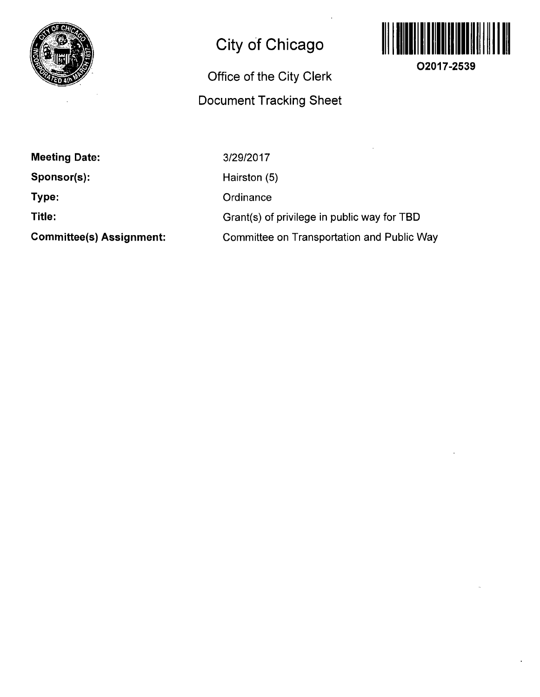

## **City of Chicago**

## **Office of the City Clerk Document Tracking Sheet**



**O2017-2539** 

**Meeting Date:** 

**Sponsor(s):** 

**Type:** 

**Title:** 

**Committee(s) Assignment:** 

3/29/2017 Hairston (5) **Ordinance** Grant(s) of privilege in public way for TBD Committee on Transportation and Public Way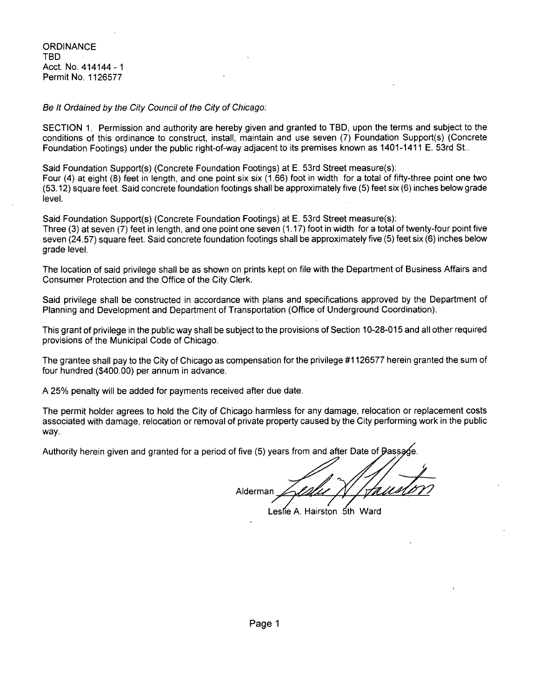**ORDINANCE** TBD Acct. No. 414144-1 Permit No. 1126577

Se It Ordained by the City Council of the City of Chicago:

SECTION 1. Permission and authority are hereby given and granted to TBD, upon the terms and subject to the conditions of this ordinance to construct, install, maintain and use seven (7) Foundation Support(s) (Concrete Foundation Footings) under the public right-of-way adjacent to its premises known as 1401-1411 E. 53rd St..

Said Foundation Support(s) (Concrete Foundation Footings) at E. 53rd Street measure(s):

Four (4) at eight (8) feet in length, and one point six six (1.66) foot in width for a total of fifty-three point one two (53.12) square feet. Said concrete foundation footings shall be approximately five (5) feet six (6) inches below grade level.

Said Foundation Support(s) (Concrete Foundation Footings) at E. 53rd Street measure(s): Three (3) at seven (7) feet in length, and one point one seven (1.17) foot in width fora total of twenty-four point five seven (24.57) square feet. Said concrete foundation footings shall be approximately five (5) feet six (6) inches below grade level.

The location of said privilege shall be as shown on prints kept on file with the Department of Business Affairs and Consumer Protection and the Office of the City Clerk.

Said privilege shall be constructed in accordance with plans and specifications approved by the Department of Planning and Development and Department of Transportation (Office of Underground Coordination).

This grant of privilege in the public way shall be subject to the provisions of Section 10-28-015 and all other required provisions of the Municipal Code of Chicago.

The grantee shall pay to the City of Chicago as compensation for the privilege #1126577 herein granted the sum of four hundred (\$400.00) per annum in advance.

A 25% penalty will be added for payments received after due date.

The permit holder agrees to hold the City of Chicago harmless for any damage, relocation or replacement costs associated with damage, relocation or removal of private property caused by the City performing work in the public way.

Authority herein given and granted for a period of five (5) years from and after Date of Bassa

Alderman

Leslie A. Hairston 5th Ward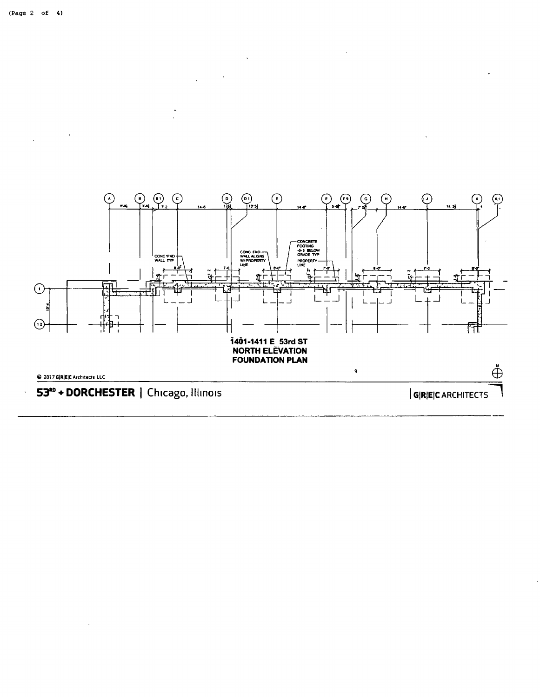

 $\bar{\lambda}$ 

 $\bar{\mathcal{A}}$ 

 $\overline{a}$ 

 $_{\odot}$ 



 $\mathcal{L}_{\mathcal{A}}$